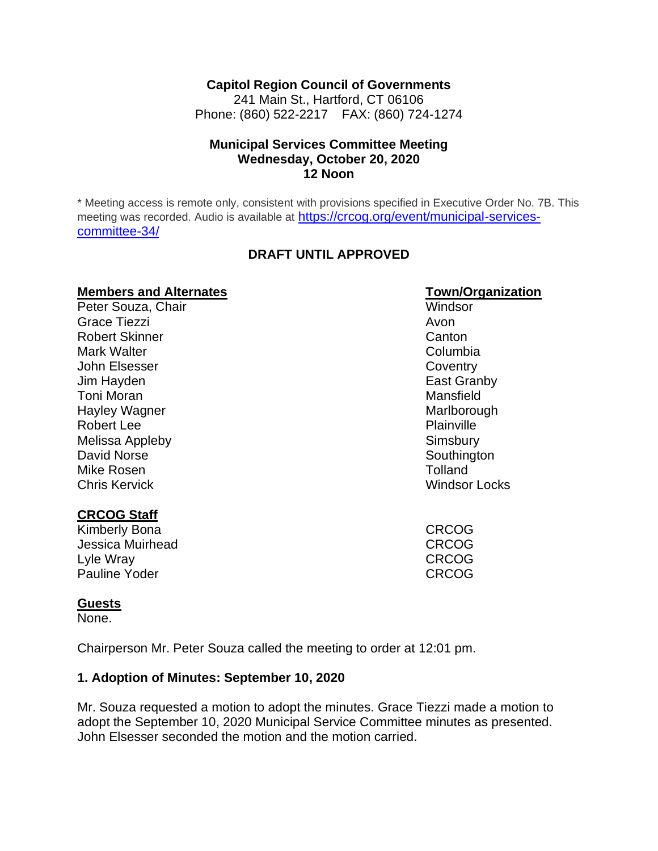#### **Capitol Region Council of Governments**

241 Main St., Hartford, CT 06106 Phone: (860) 522-2217 FAX: (860) 724-1274

#### **Municipal Services Committee Meeting Wednesday, October 20, 2020 12 Noon**

\* Meeting access is remote only, consistent with provisions specified in Executive Order No. 7B. This meeting was recorded. Audio is available at [https://crcog.org/event/municipal-services](https://crcog.org/event/municipal-services-committee-34/)[committee-34/](https://crcog.org/event/municipal-services-committee-34/)

#### **DRAFT UNTIL APPROVED**

#### **Members and Alternates Town/Organization**

Peter Souza, Chair Windsor Grace Tiezzi and a structure of the structure of the structure of the structure of the structure of the structure of the structure of the structure of the structure of the structure of the structure of the structure of the Robert Skinner Canton Canton Mark Walter **Columbia Columbia Columbia Columbia** John Elsesser Coventry Jim Hayden East Granby Toni Moran Mansfield Hayley Wagner Marlborough National Marlborough Robert Lee **Plainville** Melissa Appleby **Simsbury** Simsbury David Norse **Southington** Mike Rosen **Tolland** Chris Kervick Windsor Locks

#### **CRCOG Staff**

Kimberly Bona **CRCOG** Jessica Muirhead CRCOG Lyle Wray CRCOG Pauline Yoder **CRCOG** 

#### **Guests**

None.

Chairperson Mr. Peter Souza called the meeting to order at 12:01 pm.

#### **1. Adoption of Minutes: September 10, 2020**

Mr. Souza requested a motion to adopt the minutes. Grace Tiezzi made a motion to adopt the September 10, 2020 Municipal Service Committee minutes as presented. John Elsesser seconded the motion and the motion carried.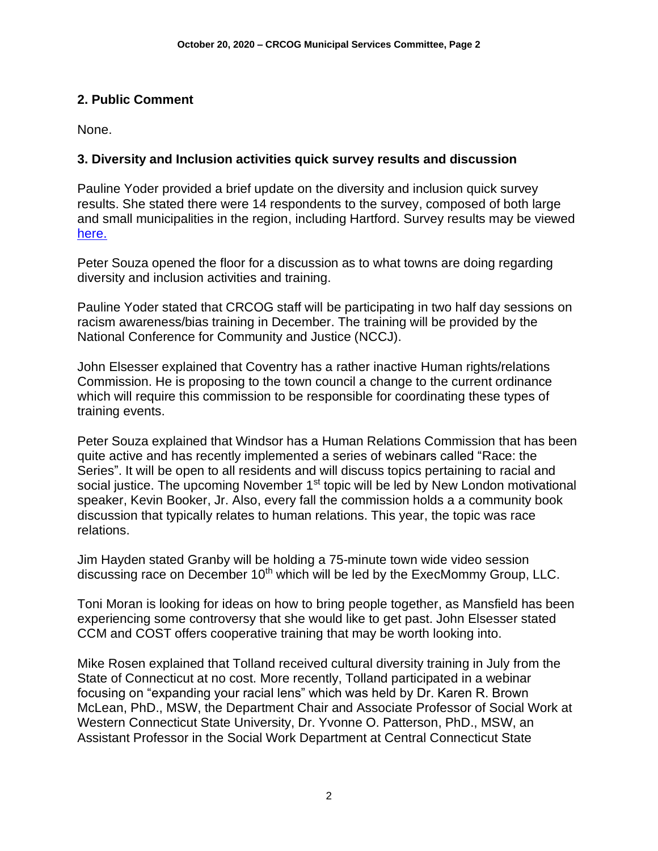# **2. Public Comment**

None.

# **3. Diversity and Inclusion activities quick survey results and discussion**

Pauline Yoder provided a brief update on the diversity and inclusion quick survey results. She stated there were 14 respondents to the survey, composed of both large and small municipalities in the region, including Hartford. Survey results may be viewed [here.](https://crcog.org/wp-content/uploads/2019/12/Diversity-Survey-Results1.pdf)

Peter Souza opened the floor for a discussion as to what towns are doing regarding diversity and inclusion activities and training.

Pauline Yoder stated that CRCOG staff will be participating in two half day sessions on racism awareness/bias training in December. The training will be provided by the National Conference for Community and Justice (NCCJ).

John Elsesser explained that Coventry has a rather inactive Human rights/relations Commission. He is proposing to the town council a change to the current ordinance which will require this commission to be responsible for coordinating these types of training events.

Peter Souza explained that Windsor has a Human Relations Commission that has been quite active and has recently implemented a series of webinars called "Race: the Series". It will be open to all residents and will discuss topics pertaining to racial and social justice. The upcoming November 1<sup>st</sup> topic will be led by New London motivational speaker, Kevin Booker, Jr. Also, every fall the commission holds a a community book discussion that typically relates to human relations. This year, the topic was race relations.

Jim Hayden stated Granby will be holding a 75-minute town wide video session discussing race on December 10<sup>th</sup> which will be led by the ExecMommy Group, LLC.

Toni Moran is looking for ideas on how to bring people together, as Mansfield has been experiencing some controversy that she would like to get past. John Elsesser stated CCM and COST offers cooperative training that may be worth looking into.

Mike Rosen explained that Tolland received cultural diversity training in July from the State of Connecticut at no cost. More recently, Tolland participated in a webinar focusing on "expanding your racial lens" which was held by Dr. Karen R. Brown McLean, PhD., MSW, the Department Chair and Associate Professor of Social Work at Western Connecticut State University, Dr. Yvonne O. Patterson, PhD., MSW, an Assistant Professor in the Social Work Department at Central Connecticut State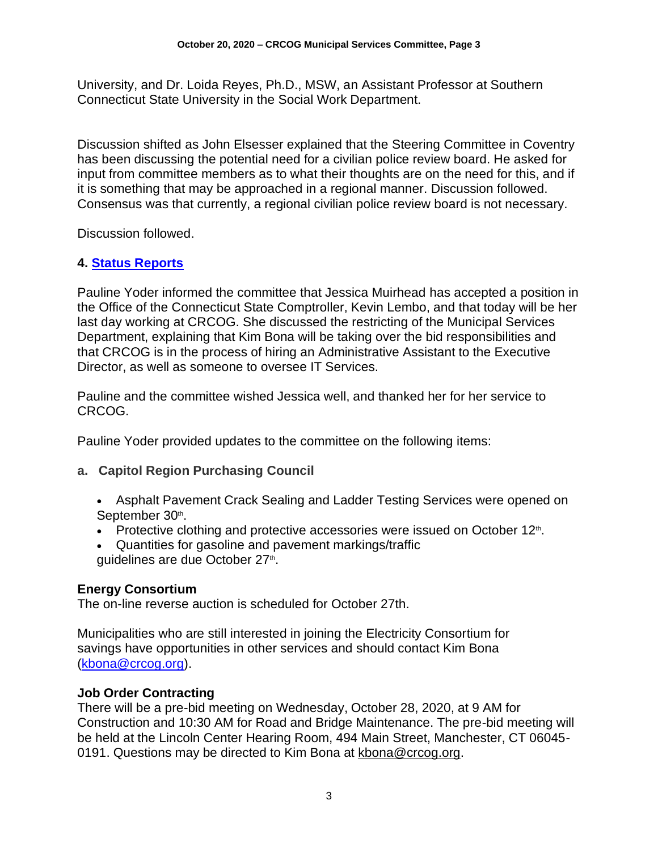University, and Dr. Loida Reyes, Ph.D., MSW, an Assistant Professor at Southern Connecticut State University in the Social Work Department.

Discussion shifted as John Elsesser explained that the Steering Committee in Coventry has been discussing the potential need for a civilian police review board. He asked for input from committee members as to what their thoughts are on the need for this, and if it is something that may be approached in a regional manner. Discussion followed. Consensus was that currently, a regional civilian police review board is not necessary.

Discussion followed.

# **4. [Status Reports](https://crcog.org/wp-content/uploads/2019/12/Municipal-services-committee-2020.09.10.pdf)**

Pauline Yoder informed the committee that Jessica Muirhead has accepted a position in the Office of the Connecticut State Comptroller, Kevin Lembo, and that today will be her last day working at CRCOG. She discussed the restricting of the Municipal Services Department, explaining that Kim Bona will be taking over the bid responsibilities and that CRCOG is in the process of hiring an Administrative Assistant to the Executive Director, as well as someone to oversee IT Services.

Pauline and the committee wished Jessica well, and thanked her for her service to CRCOG.

Pauline Yoder provided updates to the committee on the following items:

## **a. Capitol Region Purchasing Council**

- Asphalt Pavement Crack Sealing and Ladder Testing Services were opened on September 30th.
- Protective clothing and protective accessories were issued on October  $12<sup>th</sup>$ .
- Quantities for gasoline and pavement markings/traffic guidelines are due October 27<sup>th</sup>.

## **Energy Consortium**

The on-line reverse auction is scheduled for October 27th.

Municipalities who are still interested in joining the Electricity Consortium for savings have opportunities in other services and should contact Kim Bona [\(kbona@crcog.org\)](mailto:kbona@crcog.org).

## **Job Order Contracting**

There will be a pre-bid meeting on Wednesday, October 28, 2020, at 9 AM for Construction and 10:30 AM for Road and Bridge Maintenance. The pre-bid meeting will be held at the Lincoln Center Hearing Room, 494 Main Street, Manchester, CT 06045- 0191. Questions may be directed to Kim Bona at [kbona@crcog.org.](mailto:kbona@crcog.org)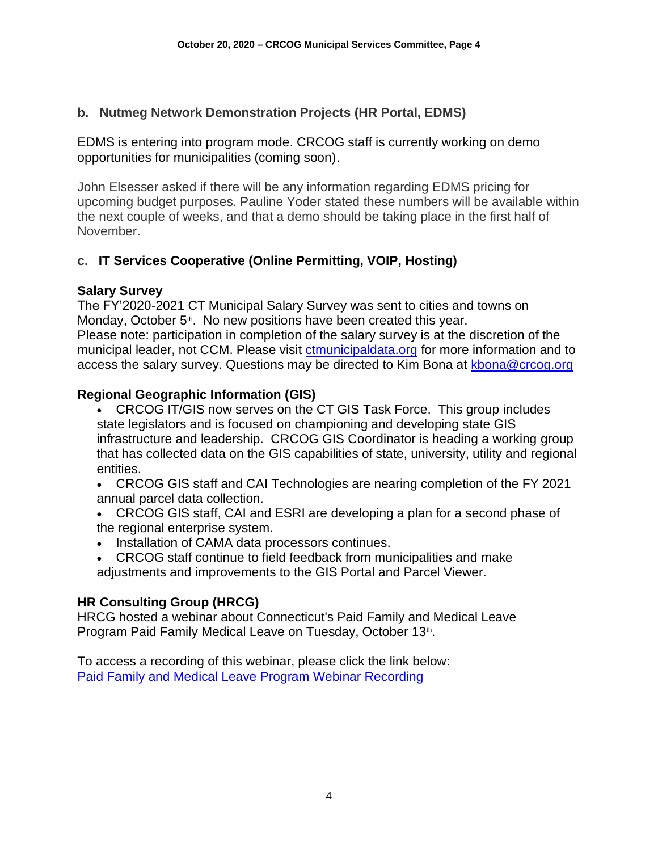## **b. Nutmeg Network Demonstration Projects (HR Portal, EDMS)**

EDMS is entering into program mode. CRCOG staff is currently working on demo opportunities for municipalities (coming soon).

John Elsesser asked if there will be any information regarding EDMS pricing for upcoming budget purposes. Pauline Yoder stated these numbers will be available within the next couple of weeks, and that a demo should be taking place in the first half of November.

# **c. IT Services Cooperative (Online Permitting, VOIP, Hosting)**

## **Salary Survey**

The FY'2020-2021 CT Municipal Salary Survey was sent to cities and towns on Monday, October 5<sup>th</sup>. No new positions have been created this year. Please note: participation in completion of the salary survey is at the discretion of the municipal leader, not CCM. Please visit [ctmunicipaldata.org](https://ctmunicipaldata.org/) for more information and to access the salary survey. Questions may be directed to Kim Bona at [kbona@crcog.org](mailto:kbona@crcog.org)

# **Regional Geographic Information (GIS)**

- CRCOG IT/GIS now serves on the CT GIS Task Force. This group includes state legislators and is focused on championing and developing state GIS infrastructure and leadership. CRCOG GIS Coordinator is heading a working group that has collected data on the GIS capabilities of state, university, utility and regional entities.
- CRCOG GIS staff and CAI Technologies are nearing completion of the FY 2021 annual parcel data collection.
- CRCOG GIS staff, CAI and ESRI are developing a plan for a second phase of the regional enterprise system.
- Installation of CAMA data processors continues.
- CRCOG staff continue to field feedback from municipalities and make adjustments and improvements to the GIS Portal and Parcel Viewer.

## **HR Consulting Group (HRCG)**

HRCG hosted a webinar about Connecticut's Paid Family and Medical Leave Program Paid Family Medical Leave on Tuesday, October 13th.

To access a recording of this webinar, please click the link below: [Paid Family and Medical Leave Program Webinar Recording](https://hs-7707654.t.hubspotstarter-ii.net/e2t/tc/VWjHmk1D8B4LW5R_mVg8sLHykW7MhRLh4hbDbwN2VVBBh3lGn5V1-WJV7CgBvWW4P_CXW1V_BhdW1VxwYQ2hqKYMW2F-ydS5MFYcwV_9ZvZ42yCHDVV2jQJ93yjrSW7mtMWK5nkpchW3DX8kz1_yTZwW1NhJJK9kvVXkW2Grn9L1CqB2PW80DZyP3L3BVRW5t3fpn397Hj9W20LNHL1GkvDxN3ssRp-QSjgYW8wXnFk6s3jfqW790FZV20JWGNW3M57DP3QXcTZW8F0GS31bjShXW5bYrGf3VKytdW6fSZD631syWrW4JVvHR2_Dk_hVGX5sH922xYgN2v2w8RGT-dNVNpDsP9d4xNVW8g3MVt79LCkV3q9h1)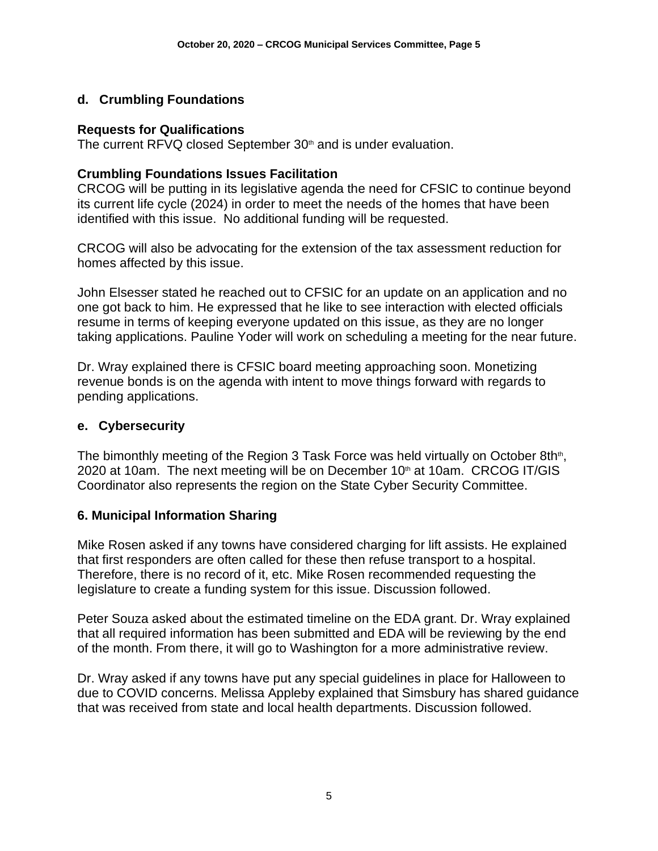# **d. Crumbling Foundations**

#### **Requests for Qualifications**

The current  $RFVQ$  closed September  $30<sup>th</sup>$  and is under evaluation.

#### **Crumbling Foundations Issues Facilitation**

CRCOG will be putting in its legislative agenda the need for CFSIC to continue beyond its current life cycle (2024) in order to meet the needs of the homes that have been identified with this issue. No additional funding will be requested.

CRCOG will also be advocating for the extension of the tax assessment reduction for homes affected by this issue.

John Elsesser stated he reached out to CFSIC for an update on an application and no one got back to him. He expressed that he like to see interaction with elected officials resume in terms of keeping everyone updated on this issue, as they are no longer taking applications. Pauline Yoder will work on scheduling a meeting for the near future.

Dr. Wray explained there is CFSIC board meeting approaching soon. Monetizing revenue bonds is on the agenda with intent to move things forward with regards to pending applications.

#### **e. Cybersecurity**

The bimonthly meeting of the Region 3 Task Force was held virtually on October 8th<sup>th</sup>, 2020 at 10am. The next meeting will be on December  $10<sup>th</sup>$  at 10am. CRCOG IT/GIS Coordinator also represents the region on the State Cyber Security Committee.

## **6. Municipal Information Sharing**

Mike Rosen asked if any towns have considered charging for lift assists. He explained that first responders are often called for these then refuse transport to a hospital. Therefore, there is no record of it, etc. Mike Rosen recommended requesting the legislature to create a funding system for this issue. Discussion followed.

Peter Souza asked about the estimated timeline on the EDA grant. Dr. Wray explained that all required information has been submitted and EDA will be reviewing by the end of the month. From there, it will go to Washington for a more administrative review.

Dr. Wray asked if any towns have put any special guidelines in place for Halloween to due to COVID concerns. Melissa Appleby explained that Simsbury has shared guidance that was received from state and local health departments. Discussion followed.